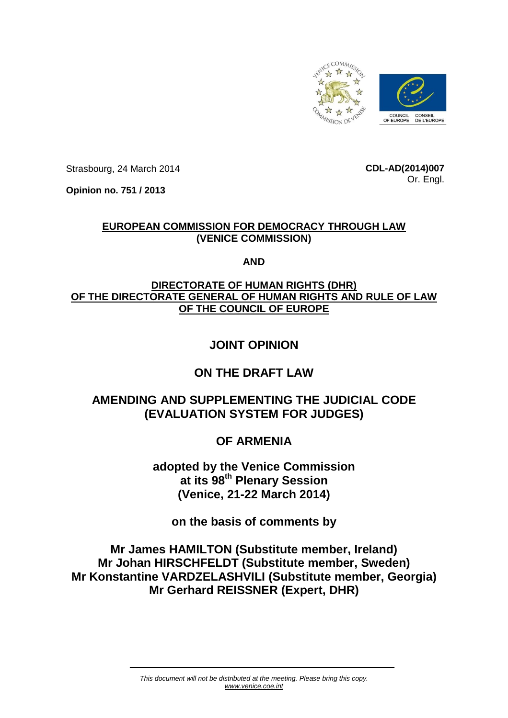

Strasbourg, 24 March 2014

**CDL-AD(2014)007** Or. Engl.

**Opinion no. 751 / 2013**

## **EUROPEAN COMMISSION FOR DEMOCRACY THROUGH LAW (VENICE COMMISSION)**

### **AND**

## **DIRECTORATE OF HUMAN RIGHTS (DHR) OF THE DIRECTORATE GENERAL OF HUMAN RIGHTS AND RULE OF LAW OF THE COUNCIL OF EUROPE**

# **JOINT OPINION**

## **ON THE DRAFT LAW**

# **AMENDING AND SUPPLEMENTING THE JUDICIAL CODE (EVALUATION SYSTEM FOR JUDGES)**

# **OF ARMENIA**

**adopted by the Venice Commission at its 98th Plenary Session (Venice, 21-22 March 2014)**

**on the basis of comments by**

**Mr James HAMILTON (Substitute member, Ireland) Mr Johan HIRSCHFELDT (Substitute member, Sweden) Mr Konstantine VARDZELASHVILI (Substitute member, Georgia) Mr Gerhard REISSNER (Expert, DHR)**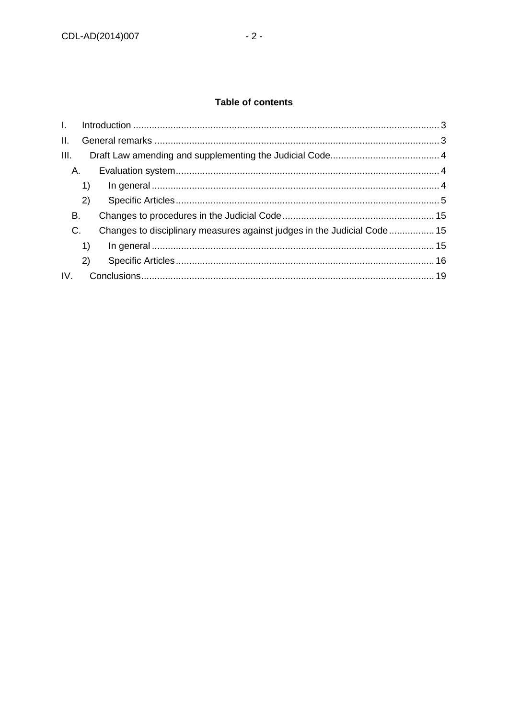## Table of contents

| $\mathbf{L}$ |    |                                                                         |  |
|--------------|----|-------------------------------------------------------------------------|--|
| II.          |    |                                                                         |  |
| III.         |    |                                                                         |  |
| Α.           |    |                                                                         |  |
|              | 1) |                                                                         |  |
|              | 2) |                                                                         |  |
| В.           |    |                                                                         |  |
| C.           |    | Changes to disciplinary measures against judges in the Judicial Code 15 |  |
|              | 1) |                                                                         |  |
|              | 2) |                                                                         |  |
| IV.          |    |                                                                         |  |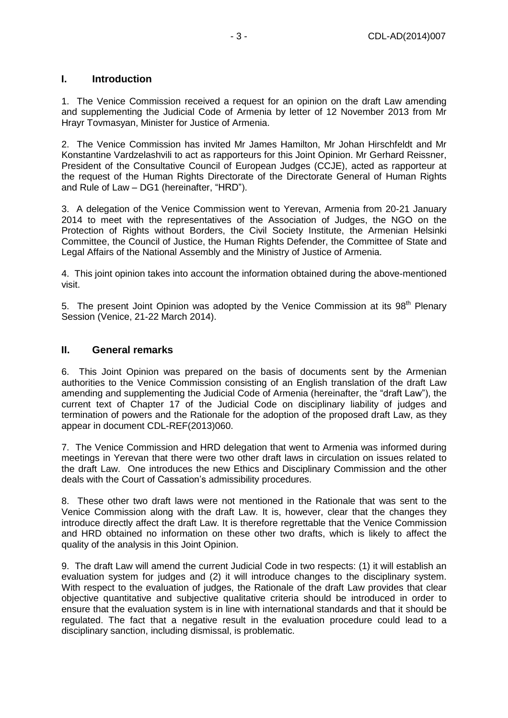### <span id="page-2-0"></span>**I. Introduction**

1. The Venice Commission received a request for an opinion on the draft Law amending and supplementing the Judicial Code of Armenia by letter of 12 November 2013 from Mr Hrayr Tovmasyan, Minister for Justice of Armenia.

2. The Venice Commission has invited Mr James Hamilton, Mr Johan Hirschfeldt and Mr Konstantine Vardzelashvili to act as rapporteurs for this Joint Opinion. Mr Gerhard Reissner, President of the Consultative Council of European Judges (CCJE), acted as rapporteur at the request of the Human Rights Directorate of the Directorate General of Human Rights and Rule of Law – DG1 (hereinafter, "HRD").

3. A delegation of the Venice Commission went to Yerevan, Armenia from 20-21 January 2014 to meet with the representatives of the Association of Judges, the NGO on the Protection of Rights without Borders, the Civil Society Institute, the Armenian Helsinki Committee, the Council of Justice, the Human Rights Defender, the Committee of State and Legal Affairs of the National Assembly and the Ministry of Justice of Armenia.

4. This joint opinion takes into account the information obtained during the above-mentioned visit.

5. The present Joint Opinion was adopted by the Venice Commission at its  $98<sup>th</sup>$  Plenary Session (Venice, 21-22 March 2014).

#### <span id="page-2-1"></span>**II. General remarks**

6. This Joint Opinion was prepared on the basis of documents sent by the Armenian authorities to the Venice Commission consisting of an English translation of the draft Law amending and supplementing the Judicial Code of Armenia (hereinafter, the "draft Law"), the current text of Chapter 17 of the Judicial Code on disciplinary liability of judges and termination of powers and the Rationale for the adoption of the proposed draft Law, as they appear in document CDL-REF(2013)060.

7. The Venice Commission and HRD delegation that went to Armenia was informed during meetings in Yerevan that there were two other draft laws in circulation on issues related to the draft Law. One introduces the new Ethics and Disciplinary Commission and the other deals with the Court of Cassation's admissibility procedures.

8. These other two draft laws were not mentioned in the Rationale that was sent to the Venice Commission along with the draft Law. It is, however, clear that the changes they introduce directly affect the draft Law. It is therefore regrettable that the Venice Commission and HRD obtained no information on these other two drafts, which is likely to affect the quality of the analysis in this Joint Opinion.

9. The draft Law will amend the current Judicial Code in two respects: (1) it will establish an evaluation system for judges and (2) it will introduce changes to the disciplinary system. With respect to the evaluation of judges, the Rationale of the draft Law provides that clear objective quantitative and subjective qualitative criteria should be introduced in order to ensure that the evaluation system is in line with international standards and that it should be regulated. The fact that a negative result in the evaluation procedure could lead to a disciplinary sanction, including dismissal, is problematic.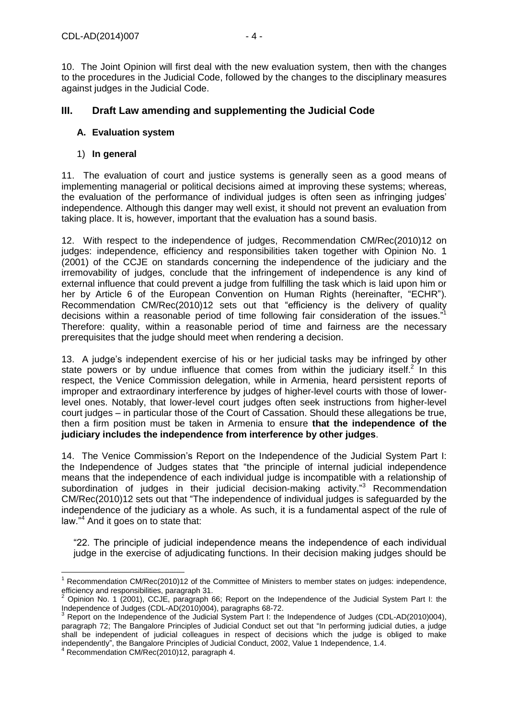10. The Joint Opinion will first deal with the new evaluation system, then with the changes to the procedures in the Judicial Code, followed by the changes to the disciplinary measures against judges in the Judicial Code.

### <span id="page-3-0"></span>**III. Draft Law amending and supplementing the Judicial Code**

#### <span id="page-3-1"></span>**A. Evaluation system**

#### <span id="page-3-2"></span>1) **In general**

11. The evaluation of court and justice systems is generally seen as a good means of implementing managerial or political decisions aimed at improving these systems; whereas, the evaluation of the performance of individual judges is often seen as infringing judges' independence. Although this danger may well exist, it should not prevent an evaluation from taking place. It is, however, important that the evaluation has a sound basis.

12. With respect to the independence of judges, Recommendation CM/Rec(2010)12 on judges: independence, efficiency and responsibilities taken together with Opinion No. 1 (2001) of the CCJE on standards concerning the independence of the judiciary and the irremovability of judges, conclude that the infringement of independence is any kind of external influence that could prevent a judge from fulfilling the task which is laid upon him or her by Article 6 of the European Convention on Human Rights (hereinafter, "ECHR"). Recommendation CM/Rec(2010)12 sets out that "efficiency is the delivery of quality decisions within a reasonable period of time following fair consideration of the issues."<sup>1</sup> Therefore: quality, within a reasonable period of time and fairness are the necessary prerequisites that the judge should meet when rendering a decision.

13. A judge's independent exercise of his or her judicial tasks may be infringed by other state powers or by undue influence that comes from within the judiciary itself.<sup>2</sup> In this respect, the Venice Commission delegation, while in Armenia, heard persistent reports of improper and extraordinary interference by judges of higher-level courts with those of lowerlevel ones. Notably, that lower-level court judges often seek instructions from higher-level court judges – in particular those of the Court of Cassation. Should these allegations be true, then a firm position must be taken in Armenia to ensure **that the independence of the judiciary includes the independence from interference by other judges**.

14. The Venice Commission's Report on the Independence of the Judicial System Part I: the Independence of Judges states that "the principle of internal judicial independence means that the independence of each individual judge is incompatible with a relationship of subordination of judges in their judicial decision-making activity."<sup>3</sup> Recommendation CM/Rec(2010)12 sets out that "The independence of individual judges is safeguarded by the independence of the judiciary as a whole. As such, it is a fundamental aspect of the rule of law."<sup>4</sup> And it goes on to state that:

"22. The principle of judicial independence means the independence of each individual judge in the exercise of adjudicating functions. In their decision making judges should be

 $\overline{a}$ <sup>1</sup> Recommendation CM/Rec(2010)12 of the Committee of Ministers to member states on judges: independence, efficiency and responsibilities, paragraph 31.

<sup>2</sup> Opinion No. 1 (2001), CCJE, paragraph 66; Report on the Independence of the Judicial System Part I: the Independence of Judges (CDL-AD(2010)004), paragraphs 68-72.

<sup>3</sup> Report on the Independence of the Judicial System Part I: the Independence of Judges (CDL-AD(2010)004), paragraph 72; The Bangalore Principles of Judicial Conduct set out that "In performing judicial duties, a judge shall be independent of judicial colleagues in respect of decisions which the judge is obliged to make independently", the Bangalore Principles of Judicial Conduct, 2002, Value 1 Independence, 1.4.

 $4$  Recommendation CM/Rec(2010)12, paragraph 4.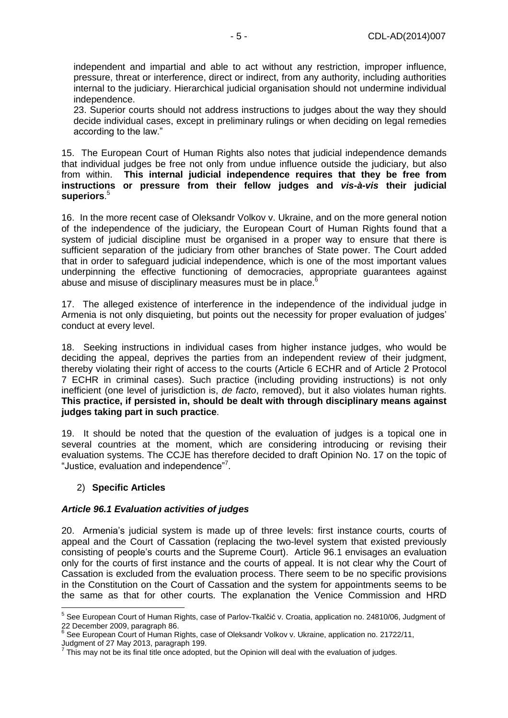independent and impartial and able to act without any restriction, improper influence, pressure, threat or interference, direct or indirect, from any authority, including authorities internal to the judiciary. Hierarchical judicial organisation should not undermine individual independence.

23. Superior courts should not address instructions to judges about the way they should decide individual cases, except in preliminary rulings or when deciding on legal remedies according to the law."

15. The European Court of Human Rights also notes that judicial independence demands that individual judges be free not only from undue influence outside the judiciary, but also from within. **This internal judicial independence requires that they be free from instructions or pressure from their fellow judges and** *vis-à-vis* **their judicial superiors**. 5

16. In the more recent case of Oleksandr Volkov v. Ukraine, and on the more general notion of the independence of the judiciary, the European Court of Human Rights found that a system of judicial discipline must be organised in a proper way to ensure that there is sufficient separation of the judiciary from other branches of State power. The Court added that in order to safeguard judicial independence, which is one of the most important values underpinning the effective functioning of democracies, appropriate guarantees against abuse and misuse of disciplinary measures must be in place.<sup>6</sup>

17. The alleged existence of interference in the independence of the individual judge in Armenia is not only disquieting, but points out the necessity for proper evaluation of judges' conduct at every level.

18. Seeking instructions in individual cases from higher instance judges, who would be deciding the appeal, deprives the parties from an independent review of their judgment, thereby violating their right of access to the courts (Article 6 ECHR and of Article 2 Protocol 7 ECHR in criminal cases). Such practice (including providing instructions) is not only inefficient (one level of jurisdiction is, *de facto*, removed), but it also violates human rights. **This practice, if persisted in, should be dealt with through disciplinary means against judges taking part in such practice**.

19. It should be noted that the question of the evaluation of judges is a topical one in several countries at the moment, which are considering introducing or revising their evaluation systems. The CCJE has therefore decided to draft Opinion No. 17 on the topic of "Justice, evaluation and independence"<sup>7</sup>.

#### <span id="page-4-0"></span>2) **Specific Articles**

#### *Article 96.1 Evaluation activities of judges*

20. Armenia's judicial system is made up of three levels: first instance courts, courts of appeal and the Court of Cassation (replacing the two-level system that existed previously consisting of people's courts and the Supreme Court). Article 96.1 envisages an evaluation only for the courts of first instance and the courts of appeal. It is not clear why the Court of Cassation is excluded from the evaluation process. There seem to be no specific provisions in the Constitution on the Court of Cassation and the system for appointments seems to be the same as that for other courts. The explanation the Venice Commission and HRD

 5 See European Court of Human Rights, case of Parlov-Tkalčić v. Croatia, application no. 24810/06, Judgment of 22 December 2009, paragraph 86.

<sup>&</sup>lt;sup>6</sup> See European Court of Human Rights, case of Oleksandr Volkov v. Ukraine, application no. 21722/11,

Judgment of 27 May 2013, paragraph 199. 7

This may not be its final title once adopted, but the Opinion will deal with the evaluation of judges.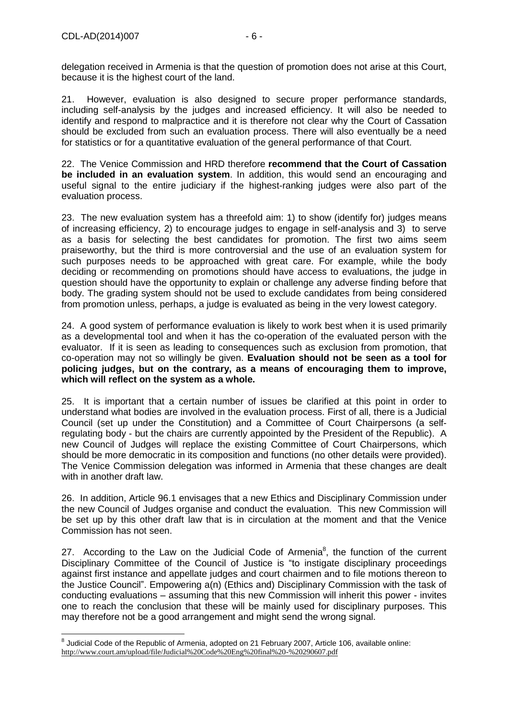delegation received in Armenia is that the question of promotion does not arise at this Court, because it is the highest court of the land.

21. However, evaluation is also designed to secure proper performance standards, including self-analysis by the judges and increased efficiency. It will also be needed to identify and respond to malpractice and it is therefore not clear why the Court of Cassation should be excluded from such an evaluation process. There will also eventually be a need for statistics or for a quantitative evaluation of the general performance of that Court.

22. The Venice Commission and HRD therefore **recommend that the Court of Cassation be included in an evaluation system**. In addition, this would send an encouraging and useful signal to the entire judiciary if the highest-ranking judges were also part of the evaluation process.

23. The new evaluation system has a threefold aim: 1) to show (identify for) judges means of increasing efficiency, 2) to encourage judges to engage in self-analysis and 3) to serve as a basis for selecting the best candidates for promotion. The first two aims seem praiseworthy, but the third is more controversial and the use of an evaluation system for such purposes needs to be approached with great care. For example, while the body deciding or recommending on promotions should have access to evaluations, the judge in question should have the opportunity to explain or challenge any adverse finding before that body. The grading system should not be used to exclude candidates from being considered from promotion unless, perhaps, a judge is evaluated as being in the very lowest category.

24. A good system of performance evaluation is likely to work best when it is used primarily as a developmental tool and when it has the co-operation of the evaluated person with the evaluator. If it is seen as leading to consequences such as exclusion from promotion, that co-operation may not so willingly be given. **Evaluation should not be seen as a tool for policing judges, but on the contrary, as a means of encouraging them to improve, which will reflect on the system as a whole.**

25. It is important that a certain number of issues be clarified at this point in order to understand what bodies are involved in the evaluation process. First of all, there is a Judicial Council (set up under the Constitution) and a Committee of Court Chairpersons (a selfregulating body - but the chairs are currently appointed by the President of the Republic). A new Council of Judges will replace the existing Committee of Court Chairpersons, which should be more democratic in its composition and functions (no other details were provided). The Venice Commission delegation was informed in Armenia that these changes are dealt with in another draft law.

26. In addition, Article 96.1 envisages that a new Ethics and Disciplinary Commission under the new Council of Judges organise and conduct the evaluation. This new Commission will be set up by this other draft law that is in circulation at the moment and that the Venice Commission has not seen.

27. According to the Law on the Judicial Code of Armenia $^8$ , the function of the current Disciplinary Committee of the Council of Justice is "to instigate disciplinary proceedings against first instance and appellate judges and court chairmen and to file motions thereon to the Justice Council". Empowering a(n) (Ethics and) Disciplinary Commission with the task of conducting evaluations – assuming that this new Commission will inherit this power - invites one to reach the conclusion that these will be mainly used for disciplinary purposes. This may therefore not be a good arrangement and might send the wrong signal.

 8 Judicial Code of the Republic of Armenia, adopted on 21 February 2007, Article 106, available online: <http://www.court.am/upload/file/Judicial%20Code%20Eng%20final%20-%20290607.pdf>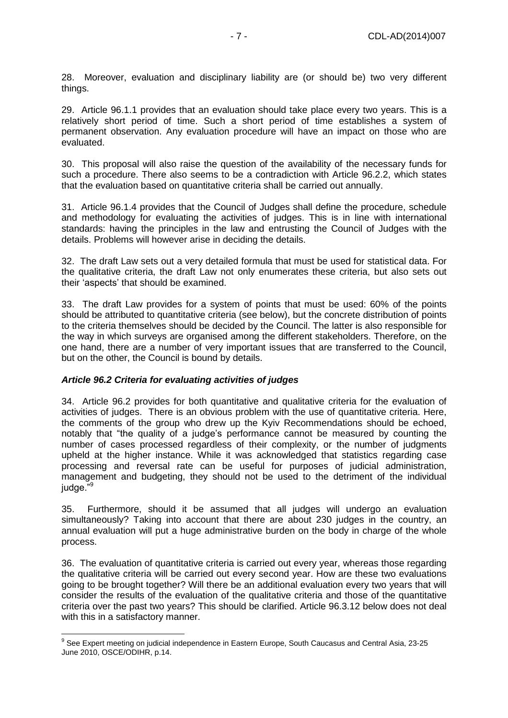28. Moreover, evaluation and disciplinary liability are (or should be) two very different things.

29. Article 96.1.1 provides that an evaluation should take place every two years. This is a relatively short period of time. Such a short period of time establishes a system of permanent observation. Any evaluation procedure will have an impact on those who are evaluated.

30. This proposal will also raise the question of the availability of the necessary funds for such a procedure. There also seems to be a contradiction with Article 96.2.2, which states that the evaluation based on quantitative criteria shall be carried out annually.

31. Article 96.1.4 provides that the Council of Judges shall define the procedure, schedule and methodology for evaluating the activities of judges. This is in line with international standards: having the principles in the law and entrusting the Council of Judges with the details. Problems will however arise in deciding the details.

32. The draft Law sets out a very detailed formula that must be used for statistical data. For the qualitative criteria, the draft Law not only enumerates these criteria, but also sets out their 'aspects' that should be examined.

33. The draft Law provides for a system of points that must be used: 60% of the points should be attributed to quantitative criteria (see below), but the concrete distribution of points to the criteria themselves should be decided by the Council. The latter is also responsible for the way in which surveys are organised among the different stakeholders. Therefore, on the one hand, there are a number of very important issues that are transferred to the Council, but on the other, the Council is bound by details.

#### *Article 96.2 Criteria for evaluating activities of judges*

34. Article 96.2 provides for both quantitative and qualitative criteria for the evaluation of activities of judges. There is an obvious problem with the use of quantitative criteria. Here, the comments of the group who drew up the Kyiv Recommendations should be echoed, notably that "the quality of a judge's performance cannot be measured by counting the number of cases processed regardless of their complexity, or the number of judgments upheld at the higher instance. While it was acknowledged that statistics regarding case processing and reversal rate can be useful for purposes of judicial administration, management and budgeting, they should not be used to the detriment of the individual judge."<sup>9</sup>

35. Furthermore, should it be assumed that all judges will undergo an evaluation simultaneously? Taking into account that there are about 230 judges in the country, an annual evaluation will put a huge administrative burden on the body in charge of the whole process.

36. The evaluation of quantitative criteria is carried out every year, whereas those regarding the qualitative criteria will be carried out every second year. How are these two evaluations going to be brought together? Will there be an additional evaluation every two years that will consider the results of the evaluation of the qualitative criteria and those of the quantitative criteria over the past two years? This should be clarified. Article 96.3.12 below does not deal with this in a satisfactory manner.

 9 See Expert meeting on judicial independence in Eastern Europe, South Caucasus and Central Asia, 23-25 June 2010, OSCE/ODIHR, p.14.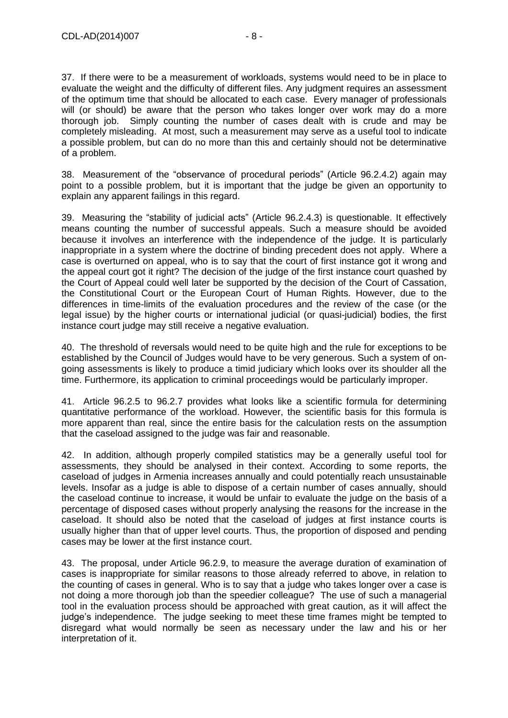37. If there were to be a measurement of workloads, systems would need to be in place to evaluate the weight and the difficulty of different files. Any judgment requires an assessment of the optimum time that should be allocated to each case. Every manager of professionals will (or should) be aware that the person who takes longer over work may do a more thorough job. Simply counting the number of cases dealt with is crude and may be completely misleading. At most, such a measurement may serve as a useful tool to indicate a possible problem, but can do no more than this and certainly should not be determinative of a problem.

38. Measurement of the "observance of procedural periods" (Article 96.2.4.2) again may point to a possible problem, but it is important that the judge be given an opportunity to explain any apparent failings in this regard.

39. Measuring the "stability of judicial acts" (Article 96.2.4.3) is questionable. It effectively means counting the number of successful appeals. Such a measure should be avoided because it involves an interference with the independence of the judge. It is particularly inappropriate in a system where the doctrine of binding precedent does not apply. Where a case is overturned on appeal, who is to say that the court of first instance got it wrong and the appeal court got it right? The decision of the judge of the first instance court quashed by the Court of Appeal could well later be supported by the decision of the Court of Cassation, the Constitutional Court or the European Court of Human Rights. However, due to the differences in time-limits of the evaluation procedures and the review of the case (or the legal issue) by the higher courts or international judicial (or quasi-judicial) bodies, the first instance court judge may still receive a negative evaluation.

40. The threshold of reversals would need to be quite high and the rule for exceptions to be established by the Council of Judges would have to be very generous. Such a system of ongoing assessments is likely to produce a timid judiciary which looks over its shoulder all the time. Furthermore, its application to criminal proceedings would be particularly improper.

41. Article 96.2.5 to 96.2.7 provides what looks like a scientific formula for determining quantitative performance of the workload. However, the scientific basis for this formula is more apparent than real, since the entire basis for the calculation rests on the assumption that the caseload assigned to the judge was fair and reasonable.

42. In addition, although properly compiled statistics may be a generally useful tool for assessments, they should be analysed in their context. According to some reports, the caseload of judges in Armenia increases annually and could potentially reach unsustainable levels. Insofar as a judge is able to dispose of a certain number of cases annually, should the caseload continue to increase, it would be unfair to evaluate the judge on the basis of a percentage of disposed cases without properly analysing the reasons for the increase in the caseload. It should also be noted that the caseload of judges at first instance courts is usually higher than that of upper level courts. Thus, the proportion of disposed and pending cases may be lower at the first instance court.

43. The proposal, under Article 96.2.9, to measure the average duration of examination of cases is inappropriate for similar reasons to those already referred to above, in relation to the counting of cases in general. Who is to say that a judge who takes longer over a case is not doing a more thorough job than the speedier colleague? The use of such a managerial tool in the evaluation process should be approached with great caution, as it will affect the judge's independence. The judge seeking to meet these time frames might be tempted to disregard what would normally be seen as necessary under the law and his or her interpretation of it.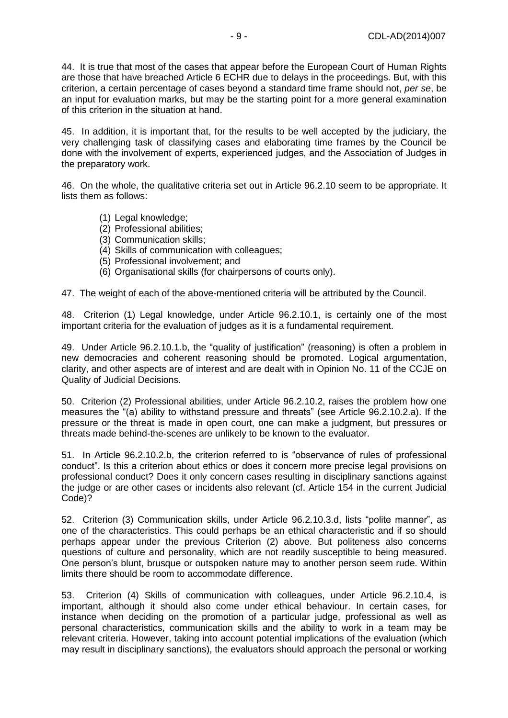44. It is true that most of the cases that appear before the European Court of Human Rights are those that have breached Article 6 ECHR due to delays in the proceedings. But, with this criterion, a certain percentage of cases beyond a standard time frame should not, *per se*, be an input for evaluation marks, but may be the starting point for a more general examination of this criterion in the situation at hand.

45. In addition, it is important that, for the results to be well accepted by the judiciary, the very challenging task of classifying cases and elaborating time frames by the Council be done with the involvement of experts, experienced judges, and the Association of Judges in the preparatory work.

46. On the whole, the qualitative criteria set out in Article 96.2.10 seem to be appropriate. It lists them as follows:

- (1) Legal knowledge;
- (2) Professional abilities;
- (3) Communication skills;
- (4) Skills of communication with colleagues;
- (5) Professional involvement; and
- (6) Organisational skills (for chairpersons of courts only).

47. The weight of each of the above-mentioned criteria will be attributed by the Council.

48. Criterion (1) Legal knowledge, under Article 96.2.10.1, is certainly one of the most important criteria for the evaluation of judges as it is a fundamental requirement.

49. Under Article 96.2.10.1.b, the "quality of justification" (reasoning) is often a problem in new democracies and coherent reasoning should be promoted. Logical argumentation, clarity, and other aspects are of interest and are dealt with in Opinion No. 11 of the CCJE on Quality of Judicial Decisions.

50. Criterion (2) Professional abilities, under Article 96.2.10.2, raises the problem how one measures the "(a) ability to withstand pressure and threats" (see Article 96.2.10.2.a). If the pressure or the threat is made in open court, one can make a judgment, but pressures or threats made behind-the-scenes are unlikely to be known to the evaluator.

51. In Article 96.2.10.2.b, the criterion referred to is "observance of rules of professional conduct". Is this a criterion about ethics or does it concern more precise legal provisions on professional conduct? Does it only concern cases resulting in disciplinary sanctions against the judge or are other cases or incidents also relevant (cf. Article 154 in the current Judicial Code)?

52. Criterion (3) Communication skills, under Article 96.2.10.3.d, lists "polite manner", as one of the characteristics. This could perhaps be an ethical characteristic and if so should perhaps appear under the previous Criterion (2) above. But politeness also concerns questions of culture and personality, which are not readily susceptible to being measured. One person's blunt, brusque or outspoken nature may to another person seem rude. Within limits there should be room to accommodate difference.

53. Criterion (4) Skills of communication with colleagues, under Article 96.2.10.4, is important, although it should also come under ethical behaviour. In certain cases, for instance when deciding on the promotion of a particular judge, professional as well as personal characteristics, communication skills and the ability to work in a team may be relevant criteria. However, taking into account potential implications of the evaluation (which may result in disciplinary sanctions), the evaluators should approach the personal or working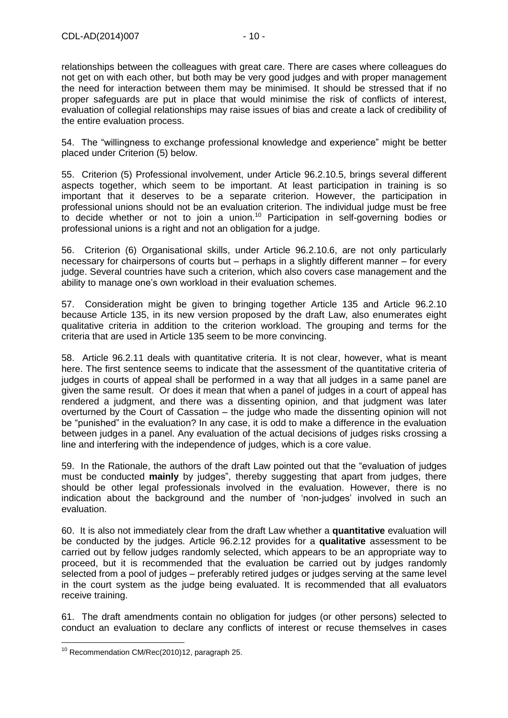relationships between the colleagues with great care. There are cases where colleagues do not get on with each other, but both may be very good judges and with proper management the need for interaction between them may be minimised. It should be stressed that if no proper safeguards are put in place that would minimise the risk of conflicts of interest, evaluation of collegial relationships may raise issues of bias and create a lack of credibility of the entire evaluation process.

54. The "willingness to exchange professional knowledge and experience" might be better placed under Criterion (5) below.

55. Criterion (5) Professional involvement, under Article 96.2.10.5, brings several different aspects together, which seem to be important. At least participation in training is so important that it deserves to be a separate criterion. However, the participation in professional unions should not be an evaluation criterion. The individual judge must be free to decide whether or not to join a union.<sup>10</sup> Participation in self-governing bodies or professional unions is a right and not an obligation for a judge.

56. Criterion (6) Organisational skills, under Article 96.2.10.6, are not only particularly necessary for chairpersons of courts but – perhaps in a slightly different manner – for every judge. Several countries have such a criterion, which also covers case management and the ability to manage one's own workload in their evaluation schemes.

57. Consideration might be given to bringing together Article 135 and Article 96.2.10 because Article 135, in its new version proposed by the draft Law, also enumerates eight qualitative criteria in addition to the criterion workload. The grouping and terms for the criteria that are used in Article 135 seem to be more convincing.

58. Article 96.2.11 deals with quantitative criteria. It is not clear, however, what is meant here. The first sentence seems to indicate that the assessment of the quantitative criteria of judges in courts of appeal shall be performed in a way that all judges in a same panel are given the same result. Or does it mean that when a panel of judges in a court of appeal has rendered a judgment, and there was a dissenting opinion, and that judgment was later overturned by the Court of Cassation – the judge who made the dissenting opinion will not be "punished" in the evaluation? In any case, it is odd to make a difference in the evaluation between judges in a panel. Any evaluation of the actual decisions of judges risks crossing a line and interfering with the independence of judges, which is a core value.

59. In the Rationale, the authors of the draft Law pointed out that the "evaluation of judges must be conducted **mainly** by judges", thereby suggesting that apart from judges, there should be other legal professionals involved in the evaluation. However, there is no indication about the background and the number of 'non-judges' involved in such an evaluation.

60. It is also not immediately clear from the draft Law whether a **quantitative** evaluation will be conducted by the judges. Article 96.2.12 provides for a **qualitative** assessment to be carried out by fellow judges randomly selected, which appears to be an appropriate way to proceed, but it is recommended that the evaluation be carried out by judges randomly selected from a pool of judges – preferably retired judges or judges serving at the same level in the court system as the judge being evaluated. It is recommended that all evaluators receive training.

61. The draft amendments contain no obligation for judges (or other persons) selected to conduct an evaluation to declare any conflicts of interest or recuse themselves in cases

 $\overline{a}$  $10$  Recommendation CM/Rec(2010)12, paragraph 25.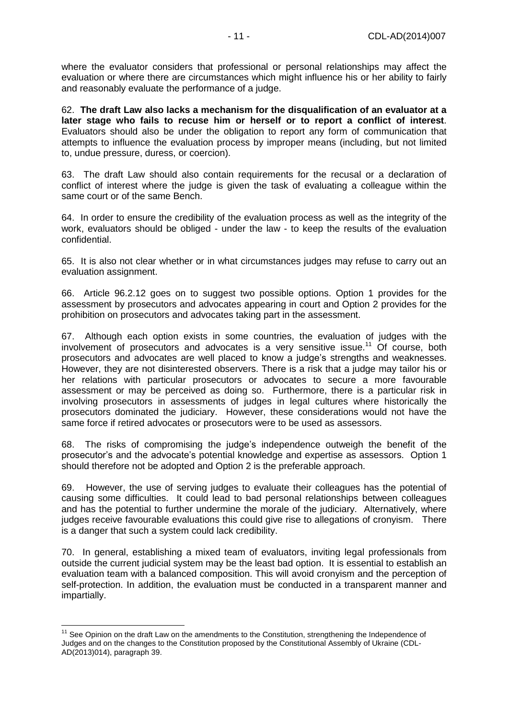where the evaluator considers that professional or personal relationships may affect the evaluation or where there are circumstances which might influence his or her ability to fairly and reasonably evaluate the performance of a judge.

62. **The draft Law also lacks a mechanism for the disqualification of an evaluator at a later stage who fails to recuse him or herself or to report a conflict of interest**. Evaluators should also be under the obligation to report any form of communication that attempts to influence the evaluation process by improper means (including, but not limited to, undue pressure, duress, or coercion).

63. The draft Law should also contain requirements for the recusal or a declaration of conflict of interest where the judge is given the task of evaluating a colleague within the same court or of the same Bench.

64. In order to ensure the credibility of the evaluation process as well as the integrity of the work, evaluators should be obliged - under the law - to keep the results of the evaluation confidential.

65. It is also not clear whether or in what circumstances judges may refuse to carry out an evaluation assignment.

66. Article 96.2.12 goes on to suggest two possible options. Option 1 provides for the assessment by prosecutors and advocates appearing in court and Option 2 provides for the prohibition on prosecutors and advocates taking part in the assessment.

67. Although each option exists in some countries, the evaluation of judges with the involvement of prosecutors and advocates is a very sensitive issue.<sup>11</sup> Of course, both prosecutors and advocates are well placed to know a judge's strengths and weaknesses. However, they are not disinterested observers. There is a risk that a judge may tailor his or her relations with particular prosecutors or advocates to secure a more favourable assessment or may be perceived as doing so. Furthermore, there is a particular risk in involving prosecutors in assessments of judges in legal cultures where historically the prosecutors dominated the judiciary. However, these considerations would not have the same force if retired advocates or prosecutors were to be used as assessors.

68. The risks of compromising the judge's independence outweigh the benefit of the prosecutor's and the advocate's potential knowledge and expertise as assessors. Option 1 should therefore not be adopted and Option 2 is the preferable approach.

69. However, the use of serving judges to evaluate their colleagues has the potential of causing some difficulties. It could lead to bad personal relationships between colleagues and has the potential to further undermine the morale of the judiciary. Alternatively, where judges receive favourable evaluations this could give rise to allegations of cronyism. There is a danger that such a system could lack credibility.

70. In general, establishing a mixed team of evaluators, inviting legal professionals from outside the current judicial system may be the least bad option. It is essential to establish an evaluation team with a balanced composition. This will avoid cronyism and the perception of self-protection. In addition, the evaluation must be conducted in a transparent manner and impartially.

 $\overline{a}$ 

<sup>&</sup>lt;sup>11</sup> See Opinion on the draft Law on the amendments to the Constitution, strengthening the Independence of Judges and on the changes to the Constitution proposed by the Constitutional Assembly of Ukraine (CDL-AD(2013)014), paragraph 39.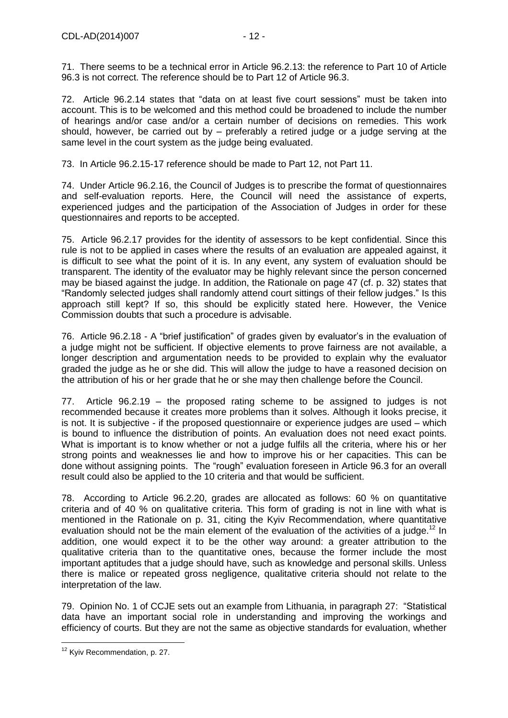71. There seems to be a technical error in Article 96.2.13: the reference to Part 10 of Article 96.3 is not correct. The reference should be to Part 12 of Article 96.3.

72. Article 96.2.14 states that "data on at least five court sessions" must be taken into account. This is to be welcomed and this method could be broadened to include the number of hearings and/or case and/or a certain number of decisions on remedies. This work should, however, be carried out by – preferably a retired judge or a judge serving at the same level in the court system as the judge being evaluated.

73. In Article 96.2.15-17 reference should be made to Part 12, not Part 11.

74. Under Article 96.2.16, the Council of Judges is to prescribe the format of questionnaires and self-evaluation reports. Here, the Council will need the assistance of experts, experienced judges and the participation of the Association of Judges in order for these questionnaires and reports to be accepted.

75. Article 96.2.17 provides for the identity of assessors to be kept confidential. Since this rule is not to be applied in cases where the results of an evaluation are appealed against, it is difficult to see what the point of it is. In any event, any system of evaluation should be transparent. The identity of the evaluator may be highly relevant since the person concerned may be biased against the judge. In addition, the Rationale on page 47 (cf. p. 32) states that "Randomly selected judges shall randomly attend court sittings of their fellow judges." Is this approach still kept? If so, this should be explicitly stated here. However, the Venice Commission doubts that such a procedure is advisable.

76. Article 96.2.18 - A "brief justification" of grades given by evaluator's in the evaluation of a judge might not be sufficient. If objective elements to prove fairness are not available, a longer description and argumentation needs to be provided to explain why the evaluator graded the judge as he or she did. This will allow the judge to have a reasoned decision on the attribution of his or her grade that he or she may then challenge before the Council.

77. Article 96.2.19 – the proposed rating scheme to be assigned to judges is not recommended because it creates more problems than it solves. Although it looks precise, it is not. It is subjective - if the proposed questionnaire or experience judges are used – which is bound to influence the distribution of points. An evaluation does not need exact points. What is important is to know whether or not a judge fulfils all the criteria, where his or her strong points and weaknesses lie and how to improve his or her capacities. This can be done without assigning points. The "rough" evaluation foreseen in Article 96.3 for an overall result could also be applied to the 10 criteria and that would be sufficient.

78. According to Article 96.2.20, grades are allocated as follows: 60 % on quantitative criteria and of 40 % on qualitative criteria. This form of grading is not in line with what is mentioned in the Rationale on p. 31, citing the Kyiv Recommendation, where quantitative evaluation should not be the main element of the evaluation of the activities of a judge.<sup>12</sup> In addition, one would expect it to be the other way around: a greater attribution to the qualitative criteria than to the quantitative ones, because the former include the most important aptitudes that a judge should have, such as knowledge and personal skills. Unless there is malice or repeated gross negligence, qualitative criteria should not relate to the interpretation of the law.

79. Opinion No. 1 of CCJE sets out an example from Lithuania, in paragraph 27: "Statistical data have an important social role in understanding and improving the workings and efficiency of courts. But they are not the same as objective standards for evaluation, whether

 $\overline{a}$ <sup>12</sup> Kyiv Recommendation, p. 27.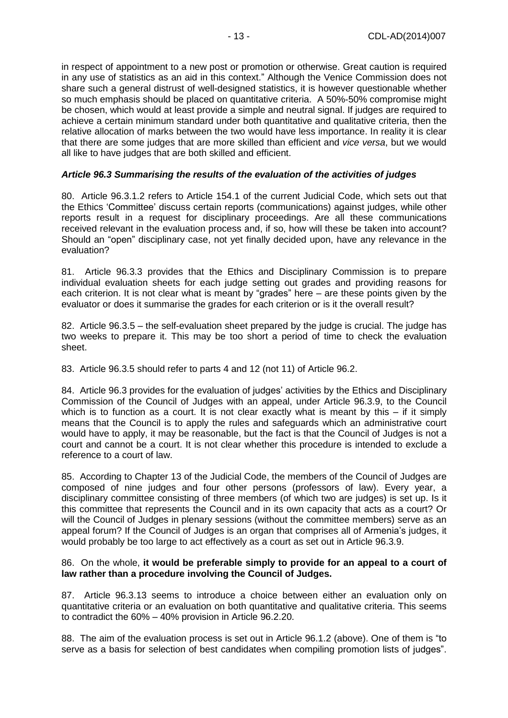in respect of appointment to a new post or promotion or otherwise. Great caution is required in any use of statistics as an aid in this context." Although the Venice Commission does not share such a general distrust of well-designed statistics, it is however questionable whether so much emphasis should be placed on quantitative criteria. A 50%-50% compromise might be chosen, which would at least provide a simple and neutral signal. If judges are required to achieve a certain minimum standard under both quantitative and qualitative criteria, then the relative allocation of marks between the two would have less importance. In reality it is clear that there are some judges that are more skilled than efficient and *vice versa*, but we would all like to have judges that are both skilled and efficient.

#### *Article 96.3 Summarising the results of the evaluation of the activities of judges*

80. Article 96.3.1.2 refers to Article 154.1 of the current Judicial Code, which sets out that the Ethics 'Committee' discuss certain reports (communications) against judges, while other reports result in a request for disciplinary proceedings. Are all these communications received relevant in the evaluation process and, if so, how will these be taken into account? Should an "open" disciplinary case, not yet finally decided upon, have any relevance in the evaluation?

81. Article 96.3.3 provides that the Ethics and Disciplinary Commission is to prepare individual evaluation sheets for each judge setting out grades and providing reasons for each criterion. It is not clear what is meant by "grades" here – are these points given by the evaluator or does it summarise the grades for each criterion or is it the overall result?

82. Article 96.3.5 – the self-evaluation sheet prepared by the judge is crucial. The judge has two weeks to prepare it. This may be too short a period of time to check the evaluation sheet.

83. Article 96.3.5 should refer to parts 4 and 12 (not 11) of Article 96.2.

84. Article 96.3 provides for the evaluation of judges' activities by the Ethics and Disciplinary Commission of the Council of Judges with an appeal, under Article 96.3.9, to the Council which is to function as a court. It is not clear exactly what is meant by this  $-$  if it simply means that the Council is to apply the rules and safeguards which an administrative court would have to apply, it may be reasonable, but the fact is that the Council of Judges is not a court and cannot be a court. It is not clear whether this procedure is intended to exclude a reference to a court of law.

85. According to Chapter 13 of the Judicial Code, the members of the Council of Judges are composed of nine judges and four other persons (professors of law). Every year, a disciplinary committee consisting of three members (of which two are judges) is set up. Is it this committee that represents the Council and in its own capacity that acts as a court? Or will the Council of Judges in plenary sessions (without the committee members) serve as an appeal forum? If the Council of Judges is an organ that comprises all of Armenia's judges, it would probably be too large to act effectively as a court as set out in Article 96.3.9.

#### 86. On the whole, **it would be preferable simply to provide for an appeal to a court of law rather than a procedure involving the Council of Judges.**

87. Article 96.3.13 seems to introduce a choice between either an evaluation only on quantitative criteria or an evaluation on both quantitative and qualitative criteria. This seems to contradict the 60% – 40% provision in Article 96.2.20.

88. The aim of the evaluation process is set out in Article 96.1.2 (above). One of them is "to serve as a basis for selection of best candidates when compiling promotion lists of judges".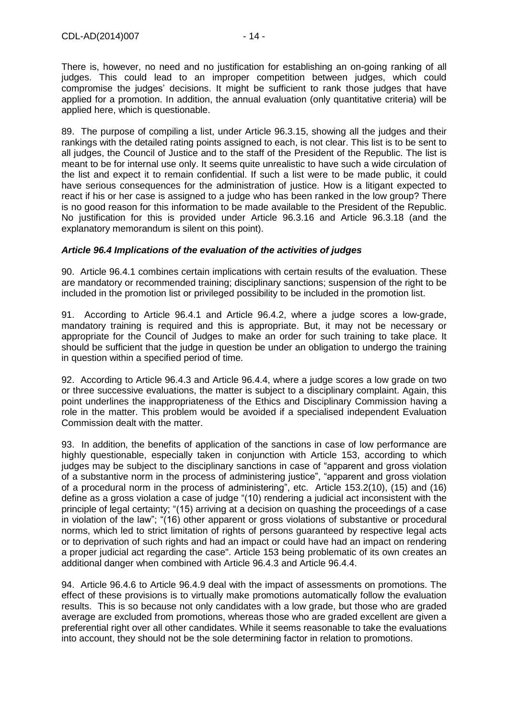There is, however, no need and no justification for establishing an on-going ranking of all judges. This could lead to an improper competition between judges, which could compromise the judges' decisions. It might be sufficient to rank those judges that have applied for a promotion. In addition, the annual evaluation (only quantitative criteria) will be applied here, which is questionable.

89. The purpose of compiling a list, under Article 96.3.15, showing all the judges and their rankings with the detailed rating points assigned to each, is not clear. This list is to be sent to all judges, the Council of Justice and to the staff of the President of the Republic. The list is meant to be for internal use only. It seems quite unrealistic to have such a wide circulation of the list and expect it to remain confidential. If such a list were to be made public, it could have serious consequences for the administration of justice. How is a litigant expected to react if his or her case is assigned to a judge who has been ranked in the low group? There is no good reason for this information to be made available to the President of the Republic. No justification for this is provided under Article 96.3.16 and Article 96.3.18 (and the explanatory memorandum is silent on this point).

#### *Article 96.4 Implications of the evaluation of the activities of judges*

90. Article 96.4.1 combines certain implications with certain results of the evaluation. These are mandatory or recommended training; disciplinary sanctions; suspension of the right to be included in the promotion list or privileged possibility to be included in the promotion list.

91. According to Article 96.4.1 and Article 96.4.2, where a judge scores a low-grade, mandatory training is required and this is appropriate. But, it may not be necessary or appropriate for the Council of Judges to make an order for such training to take place. It should be sufficient that the judge in question be under an obligation to undergo the training in question within a specified period of time.

92. According to Article 96.4.3 and Article 96.4.4, where a judge scores a low grade on two or three successive evaluations, the matter is subject to a disciplinary complaint. Again, this point underlines the inappropriateness of the Ethics and Disciplinary Commission having a role in the matter. This problem would be avoided if a specialised independent Evaluation Commission dealt with the matter.

93. In addition, the benefits of application of the sanctions in case of low performance are highly questionable, especially taken in conjunction with Article 153, according to which judges may be subject to the disciplinary sanctions in case of "apparent and gross violation of a substantive norm in the process of administering justice", "apparent and gross violation of a procedural norm in the process of administering", etc. Article 153.2(10), (15) and (16) define as a gross violation a case of judge "(10) rendering a judicial act inconsistent with the principle of legal certainty; "(15) arriving at a decision on quashing the proceedings of a case in violation of the law"; "(16) other apparent or gross violations of substantive or procedural norms, which led to strict limitation of rights of persons guaranteed by respective legal acts or to deprivation of such rights and had an impact or could have had an impact on rendering a proper judicial act regarding the case". Article 153 being problematic of its own creates an additional danger when combined with Article 96.4.3 and Article 96.4.4.

94. Article 96.4.6 to Article 96.4.9 deal with the impact of assessments on promotions. The effect of these provisions is to virtually make promotions automatically follow the evaluation results. This is so because not only candidates with a low grade, but those who are graded average are excluded from promotions, whereas those who are graded excellent are given a preferential right over all other candidates. While it seems reasonable to take the evaluations into account, they should not be the sole determining factor in relation to promotions.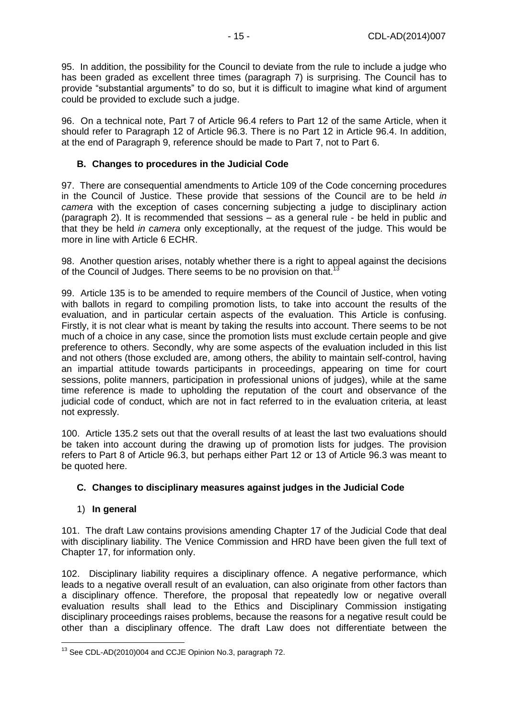95. In addition, the possibility for the Council to deviate from the rule to include a judge who has been graded as excellent three times (paragraph 7) is surprising. The Council has to provide "substantial arguments" to do so, but it is difficult to imagine what kind of argument could be provided to exclude such a judge.

96. On a technical note, Part 7 of Article 96.4 refers to Part 12 of the same Article, when it should refer to Paragraph 12 of Article 96.3. There is no Part 12 in Article 96.4. In addition, at the end of Paragraph 9, reference should be made to Part 7, not to Part 6.

### <span id="page-14-0"></span>**B. Changes to procedures in the Judicial Code**

97. There are consequential amendments to Article 109 of the Code concerning procedures in the Council of Justice. These provide that sessions of the Council are to be held *in camera* with the exception of cases concerning subjecting a judge to disciplinary action (paragraph 2). It is recommended that sessions – as a general rule - be held in public and that they be held *in camera* only exceptionally, at the request of the judge. This would be more in line with Article 6 ECHR.

98. Another question arises, notably whether there is a right to appeal against the decisions of the Council of Judges. There seems to be no provision on that.<sup>13</sup>

99. Article 135 is to be amended to require members of the Council of Justice, when voting with ballots in regard to compiling promotion lists, to take into account the results of the evaluation, and in particular certain aspects of the evaluation. This Article is confusing. Firstly, it is not clear what is meant by taking the results into account. There seems to be not much of a choice in any case, since the promotion lists must exclude certain people and give preference to others. Secondly, why are some aspects of the evaluation included in this list and not others (those excluded are, among others, the ability to maintain self-control, having an impartial attitude towards participants in proceedings, appearing on time for court sessions, polite manners, participation in professional unions of judges), while at the same time reference is made to upholding the reputation of the court and observance of the judicial code of conduct, which are not in fact referred to in the evaluation criteria, at least not expressly.

100. Article 135.2 sets out that the overall results of at least the last two evaluations should be taken into account during the drawing up of promotion lists for judges. The provision refers to Part 8 of Article 96.3, but perhaps either Part 12 or 13 of Article 96.3 was meant to be quoted here.

#### <span id="page-14-1"></span>**C. Changes to disciplinary measures against judges in the Judicial Code**

#### <span id="page-14-2"></span>1) **In general**

101. The draft Law contains provisions amending Chapter 17 of the Judicial Code that deal with disciplinary liability. The Venice Commission and HRD have been given the full text of Chapter 17, for information only.

102. Disciplinary liability requires a disciplinary offence. A negative performance, which leads to a negative overall result of an evaluation, can also originate from other factors than a disciplinary offence. Therefore, the proposal that repeatedly low or negative overall evaluation results shall lead to the Ethics and Disciplinary Commission instigating disciplinary proceedings raises problems, because the reasons for a negative result could be other than a disciplinary offence. The draft Law does not differentiate between the

 $\overline{a}$  $13$  See CDL-AD(2010)004 and CCJE Opinion No.3, paragraph 72.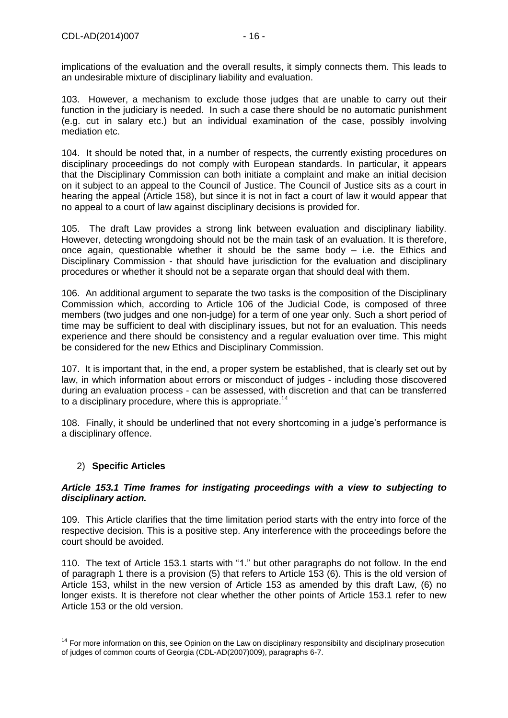implications of the evaluation and the overall results, it simply connects them. This leads to an undesirable mixture of disciplinary liability and evaluation.

103. However, a mechanism to exclude those judges that are unable to carry out their function in the judiciary is needed. In such a case there should be no automatic punishment (e.g. cut in salary etc.) but an individual examination of the case, possibly involving mediation etc.

104. It should be noted that, in a number of respects, the currently existing procedures on disciplinary proceedings do not comply with European standards. In particular, it appears that the Disciplinary Commission can both initiate a complaint and make an initial decision on it subject to an appeal to the Council of Justice. The Council of Justice sits as a court in hearing the appeal (Article 158), but since it is not in fact a court of law it would appear that no appeal to a court of law against disciplinary decisions is provided for.

105. The draft Law provides a strong link between evaluation and disciplinary liability. However, detecting wrongdoing should not be the main task of an evaluation. It is therefore, once again, questionable whether it should be the same body – i.e. the Ethics and Disciplinary Commission - that should have jurisdiction for the evaluation and disciplinary procedures or whether it should not be a separate organ that should deal with them.

106. An additional argument to separate the two tasks is the composition of the Disciplinary Commission which, according to Article 106 of the Judicial Code, is composed of three members (two judges and one non-judge) for a term of one year only. Such a short period of time may be sufficient to deal with disciplinary issues, but not for an evaluation. This needs experience and there should be consistency and a regular evaluation over time. This might be considered for the new Ethics and Disciplinary Commission.

107. It is important that, in the end, a proper system be established, that is clearly set out by law, in which information about errors or misconduct of judges - including those discovered during an evaluation process - can be assessed, with discretion and that can be transferred to a disciplinary procedure, where this is appropriate.<sup>14</sup>

108. Finally, it should be underlined that not every shortcoming in a judge's performance is a disciplinary offence.

#### <span id="page-15-0"></span>2) **Specific Articles**

 $\overline{a}$ 

#### *Article 153.1 Time frames for instigating proceedings with a view to subjecting to disciplinary action.*

109. This Article clarifies that the time limitation period starts with the entry into force of the respective decision. This is a positive step. Any interference with the proceedings before the court should be avoided.

110. The text of Article 153.1 starts with "1." but other paragraphs do not follow. In the end of paragraph 1 there is a provision (5) that refers to Article 153 (6). This is the old version of Article 153, whilst in the new version of Article 153 as amended by this draft Law, (6) no longer exists. It is therefore not clear whether the other points of Article 153.1 refer to new Article 153 or the old version.

<sup>&</sup>lt;sup>14</sup> For more information on this, see Opinion on the Law on disciplinary responsibility and disciplinary prosecution of judges of common courts of Georgia (CDL-AD(2007)009), paragraphs 6-7.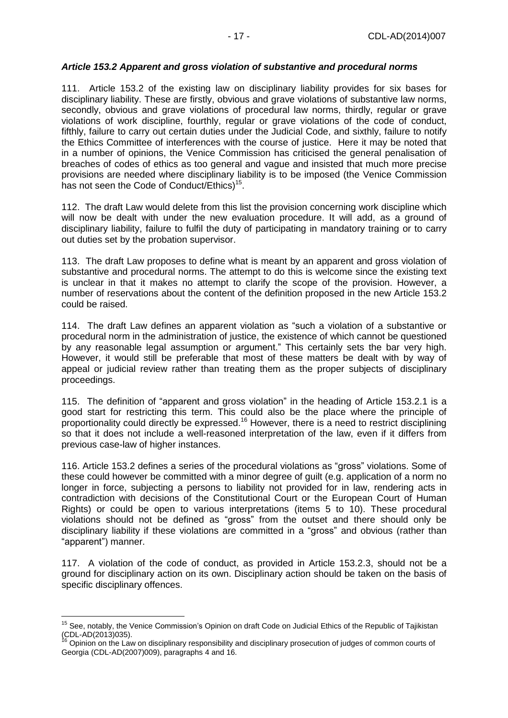#### *Article 153.2 Apparent and gross violation of substantive and procedural norms*

111. Article 153.2 of the existing law on disciplinary liability provides for six bases for disciplinary liability. These are firstly, obvious and grave violations of substantive law norms, secondly, obvious and grave violations of procedural law norms, thirdly, regular or grave violations of work discipline, fourthly, regular or grave violations of the code of conduct, fifthly, failure to carry out certain duties under the Judicial Code, and sixthly, failure to notify the Ethics Committee of interferences with the course of justice. Here it may be noted that in a number of opinions, the Venice Commission has criticised the general penalisation of breaches of codes of ethics as too general and vague and insisted that much more precise provisions are needed where disciplinary liability is to be imposed (the Venice Commission has not seen the Code of Conduct/Ethics)<sup>15</sup>.

112. The draft Law would delete from this list the provision concerning work discipline which will now be dealt with under the new evaluation procedure. It will add, as a ground of disciplinary liability, failure to fulfil the duty of participating in mandatory training or to carry out duties set by the probation supervisor.

113. The draft Law proposes to define what is meant by an apparent and gross violation of substantive and procedural norms. The attempt to do this is welcome since the existing text is unclear in that it makes no attempt to clarify the scope of the provision. However, a number of reservations about the content of the definition proposed in the new Article 153.2 could be raised.

114. The draft Law defines an apparent violation as "such a violation of a substantive or procedural norm in the administration of justice, the existence of which cannot be questioned by any reasonable legal assumption or argument." This certainly sets the bar very high. However, it would still be preferable that most of these matters be dealt with by way of appeal or judicial review rather than treating them as the proper subjects of disciplinary proceedings.

115. The definition of "apparent and gross violation" in the heading of Article 153.2.1 is a good start for restricting this term. This could also be the place where the principle of proportionality could directly be expressed.<sup>16</sup> However, there is a need to restrict disciplining so that it does not include a well-reasoned interpretation of the law, even if it differs from previous case-law of higher instances.

116. Article 153.2 defines a series of the procedural violations as "gross" violations. Some of these could however be committed with a minor degree of guilt (e.g. application of a norm no longer in force, subjecting a persons to liability not provided for in law, rendering acts in contradiction with decisions of the Constitutional Court or the European Court of Human Rights) or could be open to various interpretations (items 5 to 10). These procedural violations should not be defined as "gross" from the outset and there should only be disciplinary liability if these violations are committed in a "gross" and obvious (rather than "apparent") manner.

117. A violation of the code of conduct, as provided in Article 153.2.3, should not be a ground for disciplinary action on its own. Disciplinary action should be taken on the basis of specific disciplinary offences.

 $\overline{a}$ 

<sup>&</sup>lt;sup>15</sup> See, notably, the Venice Commission's Opinion on draft Code on Judicial Ethics of the Republic of Tajikistan (CDL-AD(2013)035).

<sup>16</sup> Opinion on the Law on disciplinary responsibility and disciplinary prosecution of judges of common courts of Georgia (CDL-AD(2007)009), paragraphs 4 and 16.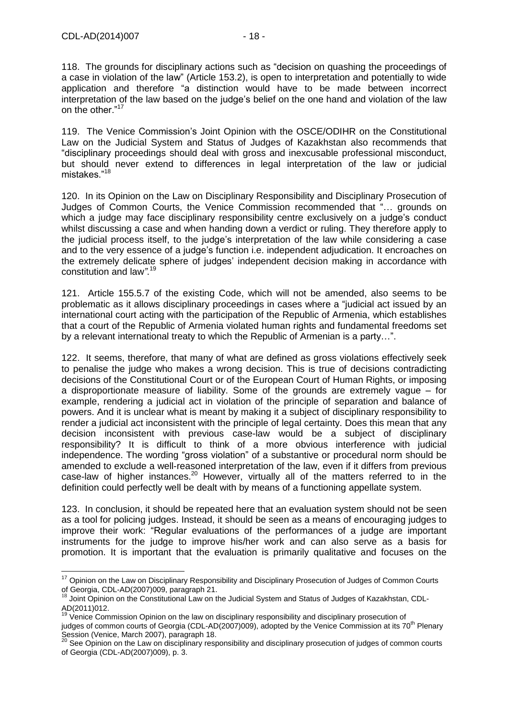$\overline{a}$ 

118. The grounds for disciplinary actions such as "decision on quashing the proceedings of a case in violation of the law" (Article 153.2), is open to interpretation and potentially to wide application and therefore "a distinction would have to be made between incorrect interpretation of the law based on the judge's belief on the one hand and violation of the law on the other."<sup>17</sup>

119. The Venice Commission's Joint Opinion with the OSCE/ODIHR on the Constitutional Law on the Judicial System and Status of Judges of Kazakhstan also recommends that "disciplinary proceedings should deal with gross and inexcusable professional misconduct, but should never extend to differences in legal interpretation of the law or judicial mistakes."<sup>18</sup>

120. In its Opinion on the Law on Disciplinary Responsibility and Disciplinary Prosecution of Judges of Common Courts, the Venice Commission recommended that "… grounds on which a judge may face disciplinary responsibility centre exclusively on a judge's conduct whilst discussing a case and when handing down a verdict or ruling. They therefore apply to the judicial process itself, to the judge's interpretation of the law while considering a case and to the very essence of a judge's function i.e. independent adjudication. It encroaches on the extremely delicate sphere of judges' independent decision making in accordance with constitution and law*"*. 19

121. Article 155.5.7 of the existing Code, which will not be amended, also seems to be problematic as it allows disciplinary proceedings in cases where a "judicial act issued by an international court acting with the participation of the Republic of Armenia, which establishes that a court of the Republic of Armenia violated human rights and fundamental freedoms set by a relevant international treaty to which the Republic of Armenian is a party…".

122. It seems, therefore, that many of what are defined as gross violations effectively seek to penalise the judge who makes a wrong decision. This is true of decisions contradicting decisions of the Constitutional Court or of the European Court of Human Rights, or imposing a disproportionate measure of liability. Some of the grounds are extremely vague – for example, rendering a judicial act in violation of the principle of separation and balance of powers. And it is unclear what is meant by making it a subject of disciplinary responsibility to render a judicial act inconsistent with the principle of legal certainty. Does this mean that any decision inconsistent with previous case-law would be a subject of disciplinary responsibility? It is difficult to think of a more obvious interference with judicial independence. The wording "gross violation" of a substantive or procedural norm should be amended to exclude a well-reasoned interpretation of the law, even if it differs from previous case-law of higher instances.<sup>20</sup> However, virtually all of the matters referred to in the definition could perfectly well be dealt with by means of a functioning appellate system.

123. In conclusion, it should be repeated here that an evaluation system should not be seen as a tool for policing judges. Instead, it should be seen as a means of encouraging judges to improve their work: "Regular evaluations of the performances of a judge are important instruments for the judge to improve his/her work and can also serve as a basis for promotion. It is important that the evaluation is primarily qualitative and focuses on the

<sup>&</sup>lt;sup>17</sup> Opinion on the Law on Disciplinary Responsibility and Disciplinary Prosecution of Judges of Common Courts of Georgia, CDL-AD(2007)009, paragraph 21.

 $18$  Joint Opinion on the Constitutional Law on the Judicial System and Status of Judges of Kazakhstan, CDL-AD(2011)012.

<sup>&</sup>lt;sup>19</sup> Venice Commission Opinion on the law on disciplinary responsibility and disciplinary prosecution of

judges of common courts of Georgia (CDL-AD(2007)009), adopted by the Venice Commission at its 70<sup>th</sup> Plenary Session (Venice, March 2007), paragraph 18.

 $^{20}$  See Opinion on the Law on disciplinary responsibility and disciplinary prosecution of judges of common courts of Georgia (CDL-AD(2007)009), p. 3.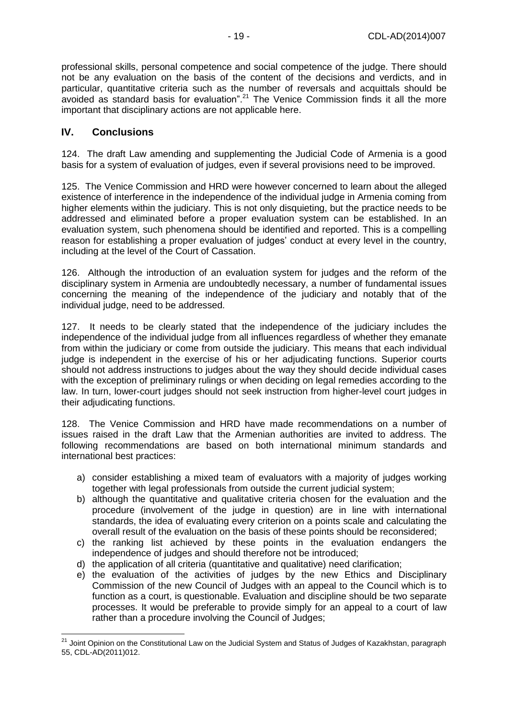professional skills, personal competence and social competence of the judge. There should not be any evaluation on the basis of the content of the decisions and verdicts, and in particular, quantitative criteria such as the number of reversals and acquittals should be avoided as standard basis for evaluation".<sup>21</sup> The Venice Commission finds it all the more important that disciplinary actions are not applicable here.

#### <span id="page-18-0"></span>**IV. Conclusions**

 $\overline{a}$ 

124. The draft Law amending and supplementing the Judicial Code of Armenia is a good basis for a system of evaluation of judges, even if several provisions need to be improved.

125. The Venice Commission and HRD were however concerned to learn about the alleged existence of interference in the independence of the individual judge in Armenia coming from higher elements within the judiciary. This is not only disquieting, but the practice needs to be addressed and eliminated before a proper evaluation system can be established. In an evaluation system, such phenomena should be identified and reported. This is a compelling reason for establishing a proper evaluation of judges' conduct at every level in the country, including at the level of the Court of Cassation.

126. Although the introduction of an evaluation system for judges and the reform of the disciplinary system in Armenia are undoubtedly necessary, a number of fundamental issues concerning the meaning of the independence of the judiciary and notably that of the individual judge, need to be addressed.

127. It needs to be clearly stated that the independence of the judiciary includes the independence of the individual judge from all influences regardless of whether they emanate from within the judiciary or come from outside the judiciary. This means that each individual judge is independent in the exercise of his or her adjudicating functions. Superior courts should not address instructions to judges about the way they should decide individual cases with the exception of preliminary rulings or when deciding on legal remedies according to the law. In turn, lower-court judges should not seek instruction from higher-level court judges in their adjudicating functions.

128. The Venice Commission and HRD have made recommendations on a number of issues raised in the draft Law that the Armenian authorities are invited to address. The following recommendations are based on both international minimum standards and international best practices:

- a) consider establishing a mixed team of evaluators with a majority of judges working together with legal professionals from outside the current judicial system;
- b) although the quantitative and qualitative criteria chosen for the evaluation and the procedure (involvement of the judge in question) are in line with international standards, the idea of evaluating every criterion on a points scale and calculating the overall result of the evaluation on the basis of these points should be reconsidered;
- c) the ranking list achieved by these points in the evaluation endangers the independence of judges and should therefore not be introduced;
- d) the application of all criteria (quantitative and qualitative) need clarification;
- e) the evaluation of the activities of judges by the new Ethics and Disciplinary Commission of the new Council of Judges with an appeal to the Council which is to function as a court, is questionable. Evaluation and discipline should be two separate processes. It would be preferable to provide simply for an appeal to a court of law rather than a procedure involving the Council of Judges;

<sup>&</sup>lt;sup>21</sup> Joint Opinion on the Constitutional Law on the Judicial System and Status of Judges of Kazakhstan, paragraph 55, CDL-AD(2011)012.